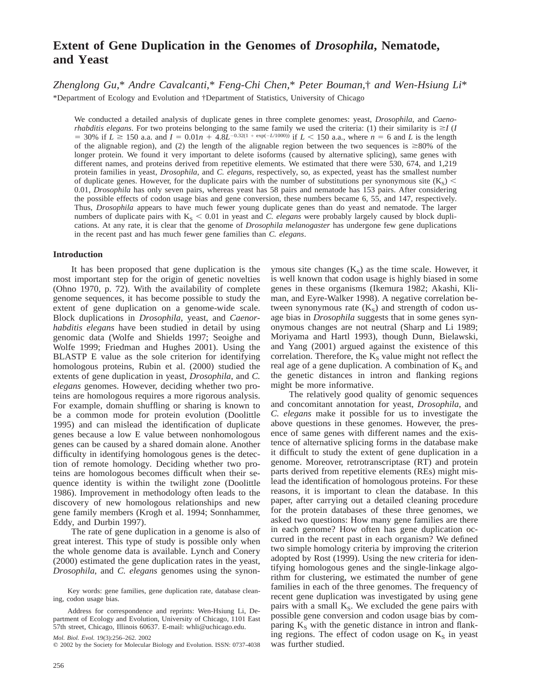# **Extent of Gene Duplication in the Genomes of** *Drosophila***, Nematode, and Yeast**

*Zhenglong Gu,*\* *Andre Cavalcanti,*\* *Feng-Chi Chen,*\* *Peter Bouman,*† *and Wen-Hsiung Li*\*

\*Department of Ecology and Evolution and †Department of Statistics, University of Chicago

We conducted a detailed analysis of duplicate genes in three complete genomes: yeast, *Drosophila*, and *Caenorhabditis elegans*. For two proteins belonging to the same family we used the criteria: (1) their similarity is  $\geq$  (*I*  $=$  30% if  $L \ge 150$  a.a. and  $I = 0.01n + 4.8L^{-0.32(1 + exp(-L/1000))}$  if  $L < 150$  a.a., where  $n = 6$  and L is the length of the alignable region), and (2) the length of the alignable region between the two sequences is  $\geq 80\%$  of the longer protein. We found it very important to delete isoforms (caused by alternative splicing), same genes with different names, and proteins derived from repetitive elements. We estimated that there were 530, 674, and 1,219 protein families in yeast, *Drosophila*, and *C. elegans*, respectively, so, as expected, yeast has the smallest number of duplicate genes. However, for the duplicate pairs with the number of substitutions per synonymous site  $(K_S)$  < 0.01, *Drosophila* has only seven pairs, whereas yeast has 58 pairs and nematode has 153 pairs. After considering the possible effects of codon usage bias and gene conversion, these numbers became 6, 55, and 147, respectively. Thus, *Drosophila* appears to have much fewer young duplicate genes than do yeast and nematode. The larger numbers of duplicate pairs with  $K<sub>S</sub> < 0.01$  in yeast and *C. elegans* were probably largely caused by block duplications. At any rate, it is clear that the genome of *Drosophila melanogaster* has undergone few gene duplications in the recent past and has much fewer gene families than *C. elegans*.

# **Introduction**

It has been proposed that gene duplication is the most important step for the origin of genetic novelties (Ohno 1970, p. 72). With the availability of complete genome sequences, it has become possible to study the extent of gene duplication on a genome-wide scale. Block duplications in *Drosophila*, yeast, and *Caenorhabditis elegans* have been studied in detail by using genomic data (Wolfe and Shields 1997; Seoighe and Wolfe 1999; Friedman and Hughes 2001). Using the BLASTP E value as the sole criterion for identifying homologous proteins, Rubin et al. (2000) studied the extents of gene duplication in yeast, *Drosophila*, and *C. elegans* genomes. However, deciding whether two proteins are homologous requires a more rigorous analysis. For example, domain shuffling or sharing is known to be a common mode for protein evolution (Doolittle 1995) and can mislead the identification of duplicate genes because a low E value between nonhomologous genes can be caused by a shared domain alone. Another difficulty in identifying homologous genes is the detection of remote homology. Deciding whether two proteins are homologous becomes difficult when their sequence identity is within the twilight zone (Doolittle 1986). Improvement in methodology often leads to the discovery of new homologous relationships and new gene family members (Krogh et al. 1994; Sonnhammer, Eddy, and Durbin 1997).

The rate of gene duplication in a genome is also of great interest. This type of study is possible only when the whole genome data is available. Lynch and Conery (2000) estimated the gene duplication rates in the yeast, *Drosophila*, and *C. elegans* genomes using the synonymous site changes  $(K<sub>S</sub>)$  as the time scale. However, it is well known that codon usage is highly biased in some genes in these organisms (Ikemura 1982; Akashi, Kliman, and Eyre-Walker 1998). A negative correlation between synonymous rate  $(K<sub>s</sub>)$  and strength of codon usage bias in *Drosophila* suggests that in some genes synonymous changes are not neutral (Sharp and Li 1989; Moriyama and Hartl 1993), though Dunn, Bielawski, and Yang (2001) argued against the existence of this correlation. Therefore, the  $K<sub>S</sub>$  value might not reflect the real age of a gene duplication. A combination of  $K_s$  and the genetic distances in intron and flanking regions might be more informative.

The relatively good quality of genomic sequences and concomitant annotation for yeast, *Drosophila*, and *C. elegans* make it possible for us to investigate the above questions in these genomes. However, the presence of same genes with different names and the existence of alternative splicing forms in the database make it difficult to study the extent of gene duplication in a genome. Moreover, retrotranscriptase (RT) and protein parts derived from repetitive elements (REs) might mislead the identification of homologous proteins. For these reasons, it is important to clean the database. In this paper, after carrying out a detailed cleaning procedure for the protein databases of these three genomes, we asked two questions: How many gene families are there in each genome? How often has gene duplication occurred in the recent past in each organism? We defined two simple homology criteria by improving the criterion adopted by Rost (1999). Using the new criteria for identifying homologous genes and the single-linkage algorithm for clustering, we estimated the number of gene families in each of the three genomes. The frequency of recent gene duplication was investigated by using gene pairs with a small  $K_S$ . We excluded the gene pairs with possible gene conversion and codon usage bias by comparing  $K<sub>s</sub>$  with the genetic distance in intron and flanking regions. The effect of codon usage on  $K<sub>S</sub>$  in yeast was further studied.

Key words: gene families, gene duplication rate, database cleaning, codon usage bias.

Address for correspondence and reprints: Wen-Hsiung Li, Department of Ecology and Evolution, University of Chicago, 1101 East 57th street, Chicago, Illinois 60637. E-mail: whli@uchicago.edu.

*Mol. Biol. Evol.* 19(3):256–262. 2002

q 2002 by the Society for Molecular Biology and Evolution. ISSN: 0737-4038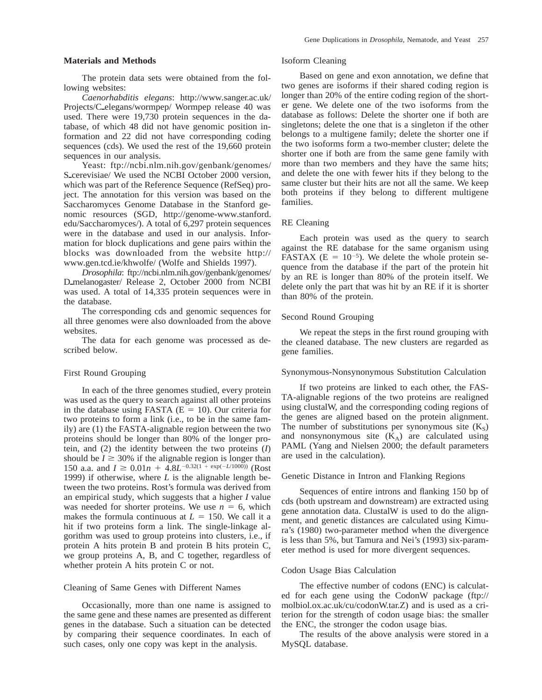## **Materials and Methods**

The protein data sets were obtained from the following websites:

*Caenorhabditis elegans*: http://www.sanger.ac.uk/ Projects/C\_elegans/wormpep/ Wormpep release 40 was used. There were 19,730 protein sequences in the database, of which 48 did not have genomic position information and 22 did not have corresponding coding sequences (cds). We used the rest of the 19,660 protein sequences in our analysis.

Yeast: ftp://ncbi.nlm.nih.gov/genbank/genomes/ S\_cerevisiae/ We used the NCBI October 2000 version, which was part of the Reference Sequence (RefSeq) project. The annotation for this version was based on the Saccharomyces Genome Database in the Stanford genomic resources (SGD, http://genome-www.stanford. edu/Saccharomyces/). A total of 6,297 protein sequences were in the database and used in our analysis. Information for block duplications and gene pairs within the blocks was downloaded from the website http:// www.gen.tcd.ie/khwolfe/ (Wolfe and Shields 1997).

*Drosophila*: ftp://ncbi.nlm.nih.gov/genbank/genomes/ D\_melanogaster/ Release 2, October 2000 from NCBI was used. A total of 14,335 protein sequences were in the database.

The corresponding cds and genomic sequences for all three genomes were also downloaded from the above websites.

The data for each genome was processed as described below.

# First Round Grouping

In each of the three genomes studied, every protein was used as the query to search against all other proteins in the database using FASTA ( $E = 10$ ). Our criteria for two proteins to form a link (i.e., to be in the same family) are (1) the FASTA-alignable region between the two proteins should be longer than 80% of the longer protein, and (2) the identity between the two proteins (*I*) should be  $I \geq 30\%$  if the alignable region is longer than 150 a.a. and  $I \ge 0.01n + 4.8L^{-0.32(1 + exp(-L/1000))}$  (Rost 1999) if otherwise, where *L* is the alignable length between the two proteins. Rost's formula was derived from an empirical study, which suggests that a higher *I* value was needed for shorter proteins. We use  $n = 6$ , which makes the formula continuous at  $L = 150$ . We call it a hit if two proteins form a link. The single-linkage algorithm was used to group proteins into clusters, i.e., if protein A hits protein B and protein B hits protein C, we group proteins A, B, and C together, regardless of whether protein A hits protein C or not.

## Cleaning of Same Genes with Different Names

Occasionally, more than one name is assigned to the same gene and these names are presented as different genes in the database. Such a situation can be detected by comparing their sequence coordinates. In each of such cases, only one copy was kept in the analysis.

## Isoform Cleaning

Based on gene and exon annotation, we define that two genes are isoforms if their shared coding region is longer than 20% of the entire coding region of the shorter gene. We delete one of the two isoforms from the database as follows: Delete the shorter one if both are singletons; delete the one that is a singleton if the other belongs to a multigene family; delete the shorter one if the two isoforms form a two-member cluster; delete the shorter one if both are from the same gene family with more than two members and they have the same hits; and delete the one with fewer hits if they belong to the same cluster but their hits are not all the same. We keep both proteins if they belong to different multigene families.

## RE Cleaning

Each protein was used as the query to search against the RE database for the same organism using FASTAX ( $E = 10^{-5}$ ). We delete the whole protein sequence from the database if the part of the protein hit by an RE is longer than 80% of the protein itself. We delete only the part that was hit by an RE if it is shorter than 80% of the protein.

#### Second Round Grouping

We repeat the steps in the first round grouping with the cleaned database. The new clusters are regarded as gene families.

### Synonymous-Nonsynonymous Substitution Calculation

If two proteins are linked to each other, the FAS-TA-alignable regions of the two proteins are realigned using clustalW, and the corresponding coding regions of the genes are aligned based on the protein alignment. The number of substitutions per synonymous site  $(K<sub>s</sub>)$ and nonsynonymous site  $(K_A)$  are calculated using PAML (Yang and Nielsen 2000; the default parameters are used in the calculation).

# Genetic Distance in Intron and Flanking Regions

Sequences of entire introns and flanking 150 bp of cds (both upstream and downstream) are extracted using gene annotation data. ClustalW is used to do the alignment, and genetic distances are calculated using Kimura's (1980) two-parameter method when the divergence is less than 5%, but Tamura and Nei's (1993) six-parameter method is used for more divergent sequences.

## Codon Usage Bias Calculation

The effective number of codons (ENC) is calculated for each gene using the CodonW package (ftp:// molbiol.ox.ac.uk/cu/codonW.tar.Z) and is used as a criterion for the strength of codon usage bias: the smaller the ENC, the stronger the codon usage bias.

The results of the above analysis were stored in a MySQL database.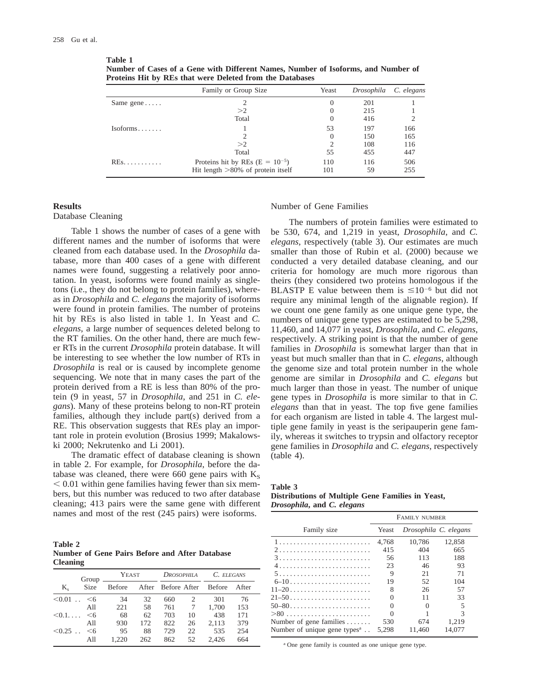| rotellis IIIt by RES that were Defetted from the Databases |                                       |                 |            |            |  |  |
|------------------------------------------------------------|---------------------------------------|-----------------|------------|------------|--|--|
|                                                            | Family or Group Size                  | Yeast           | Drosophila | C. elegans |  |  |
| Same gene $\dots$                                          |                                       | 201<br>$\Omega$ |            |            |  |  |
|                                                            | >2                                    | 0               | 215        |            |  |  |
|                                                            | Total                                 | $\Omega$        | 416        |            |  |  |
| $Isoforms. \ldots$                                         |                                       | 53              | 197        | 166        |  |  |
|                                                            |                                       | $\theta$        | 150        | 165        |  |  |
|                                                            | >2                                    |                 | 108        | 116        |  |  |
|                                                            | Total                                 | 55              | 455        | 447        |  |  |
| $REs$                                                      | Proteins hit by REs ( $E = 10^{-5}$ ) | 110             | 116        | 506        |  |  |
|                                                            | Hit length $>80\%$ of protein itself  | 101             | 59         | 255        |  |  |

**Number of Cases of a Gene with Different Names, Number of Isoforms, and Number of Proteins Hit by REs that were Deleted from the Databases**

# **Results**

# Database Cleaning

Table 1 shows the number of cases of a gene with different names and the number of isoforms that were cleaned from each database used. In the *Drosophila* database, more than 400 cases of a gene with different names were found, suggesting a relatively poor annotation. In yeast, isoforms were found mainly as singletons (i.e., they do not belong to protein families), whereas in *Drosophila* and *C. elegans* the majority of isoforms were found in protein families. The number of proteins hit by REs is also listed in table 1. In Yeast and *C. elegans*, a large number of sequences deleted belong to the RT families. On the other hand, there are much fewer RTs in the current *Drosophila* protein database. It will be interesting to see whether the low number of RTs in *Drosophila* is real or is caused by incomplete genome sequencing. We note that in many cases the part of the protein derived from a RE is less than 80% of the protein (9 in yeast, 57 in *Drosophila*, and 251 in *C. elegans*). Many of these proteins belong to non-RT protein families, although they include part(s) derived from a RE. This observation suggests that REs play an important role in protein evolution (Brosius 1999; Makalowski 2000; Nekrutenko and Li 2001).

The dramatic effect of database cleaning is shown in table 2. For example, for *Drosophila*, before the database was cleaned, there were 660 gene pairs with  $K<sub>S</sub>$  $< 0.01$  within gene families having fewer than six members, but this number was reduced to two after database cleaning; 413 pairs were the same gene with different names and most of the rest (245 pairs) were isoforms.

**Table 2 Number of Gene Pairs Before and After Database Cleaning**

|                | Group           | YEAST  |     | <b>DROSOPHILA</b>  |    | C. ELEGANS    |       |
|----------------|-----------------|--------|-----|--------------------|----|---------------|-------|
| $K_{\circ}$    | Size            | Before |     | After Before After |    | <b>Before</b> | After |
| < 0.01         | $<$ 6<br>$\sim$ | 34     | 32  | 660                | 2  | 301           | 76    |
|                | A11             | 221    | 58  | 761                |    | 1.700         | 153   |
| $< 0.1 \ldots$ | $<$ 6           | 68     | 62  | 703                | 10 | 438           | 171   |
|                | All             | 930    | 172 | 822                | 26 | 2,113         | 379   |
| $< 0.25$       | $<$ 6           | 95     | 88  | 729                | 22 | 535           | 254   |
|                | All             | 1.220  | 262 | 862                | 52 | 2.426         | 664   |

## Number of Gene Families

The numbers of protein families were estimated to be 530, 674, and 1,219 in yeast, *Drosophila*, and *C. elegans*, respectively (table 3). Our estimates are much smaller than those of Rubin et al. (2000) because we conducted a very detailed database cleaning, and our criteria for homology are much more rigorous than theirs (they considered two proteins homologous if the BLASTP E value between them is  $\leq 10^{-6}$  but did not require any minimal length of the alignable region). If we count one gene family as one unique gene type, the numbers of unique gene types are estimated to be 5,298, 11,460, and 14,077 in yeast, *Drosophila*, and *C. elegans*, respectively. A striking point is that the number of gene families in *Drosophila* is somewhat larger than that in yeast but much smaller than that in *C. elegans*, although the genome size and total protein number in the whole genome are similar in *Drosophila* and *C. elegans* but much larger than those in yeast. The number of unique gene types in *Drosophila* is more similar to that in *C. elegans* than that in yeast. The top five gene families for each organism are listed in table 4. The largest multiple gene family in yeast is the seripauperin gene family, whereas it switches to trypsin and olfactory receptor gene families in *Drosophila* and *C. elegans*, respectively (table 4).

| Table |  |
|-------|--|
|-------|--|

| Distributions of Multiple Gene Families in Yeast, |  |  |
|---------------------------------------------------|--|--|
| <i>Drosophila, and C. elegans</i>                 |  |  |

|                                                       | FAMILY NUMBER |                       |        |  |
|-------------------------------------------------------|---------------|-----------------------|--------|--|
| Family size                                           | Yeast         | Drosophila C. elegans |        |  |
|                                                       | 4.768         | 10.786                | 12,858 |  |
|                                                       | 415           | 404                   | 665    |  |
|                                                       | 56            | 113                   | 188    |  |
|                                                       | 23            | 46                    | 93     |  |
|                                                       | 9             | 21                    | 71     |  |
|                                                       | 19            | 52                    | 104    |  |
| $11-20$                                               | 8             | 26                    | 57     |  |
| $21 - 50$                                             |               | 11                    | 33     |  |
| $50 - 80$                                             | $\Omega$      |                       | 5      |  |
| $>80$                                                 |               |                       | 3      |  |
| Number of gene families $\dots$                       | 530           | 674                   | 1.219  |  |
| Number of unique gene types <sup><math>a</math></sup> | 5.298         | 11.460                | 14.077 |  |

<sup>a</sup> One gene family is counted as one unique gene type.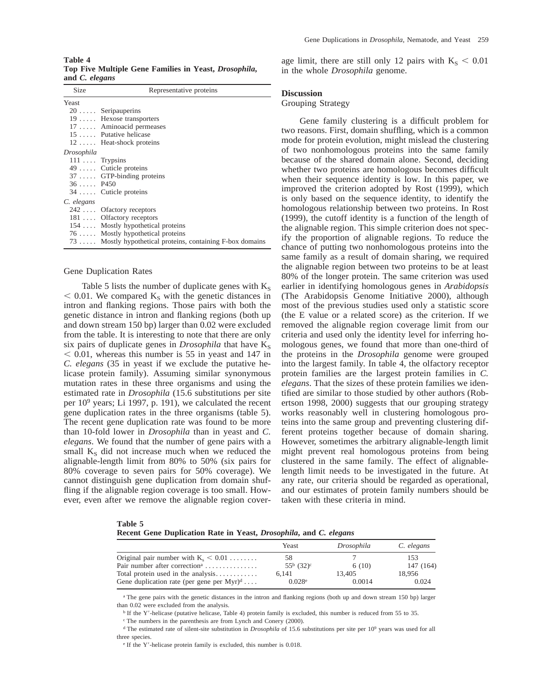**Table 4 Top Five Multiple Gene Families in Yeast,** *Drosophila***, and** *C. elegans*

| Size                  | Representative proteins                                    |
|-----------------------|------------------------------------------------------------|
| Yeast                 |                                                            |
|                       | 20 Seripauperins                                           |
|                       | 19  Hexose transporters                                    |
|                       | 17  Aminoacid permeases                                    |
|                       | 15  Putative helicase                                      |
|                       | 12  Heat-shock proteins                                    |
| Drosophila            |                                                            |
| $111 \ldots$ Trypsins |                                                            |
|                       | 49  Cuticle proteins                                       |
|                       | 37  GTP-binding proteins                                   |
| $36$ P450             |                                                            |
|                       | 34  Cuticle proteins                                       |
| C. elegans            |                                                            |
|                       | 242  Of actory receptors                                   |
|                       | 181  Olfactory receptors                                   |
|                       | 154  Mostly hypothetical proteins                          |
|                       | 76  Mostly hypothetical proteins                           |
|                       | 73  Mostly hypothetical proteins, containing F-box domains |

# Gene Duplication Rates

Table 5 lists the number of duplicate genes with  $K<sub>S</sub>$  $<$  0.01. We compared K<sub>S</sub> with the genetic distances in intron and flanking regions. Those pairs with both the genetic distance in intron and flanking regions (both up and down stream 150 bp) larger than 0.02 were excluded from the table. It is interesting to note that there are only six pairs of duplicate genes in *Drosophila* that have  $K_S$  $<$  0.01, whereas this number is 55 in yeast and 147 in *C. elegans* (35 in yeast if we exclude the putative helicase protein family). Assuming similar synonymous mutation rates in these three organisms and using the estimated rate in *Drosophila* (15.6 substitutions per site per 109 years; Li 1997, p. 191), we calculated the recent gene duplication rates in the three organisms (table 5). The recent gene duplication rate was found to be more than 10-fold lower in *Drosophila* than in yeast and *C. elegans*. We found that the number of gene pairs with a small  $K<sub>S</sub>$  did not increase much when we reduced the alignable-length limit from 80% to 50% (six pairs for 80% coverage to seven pairs for 50% coverage). We cannot distinguish gene duplication from domain shuffling if the alignable region coverage is too small. However, even after we remove the alignable region coverage limit, there are still only 12 pairs with  $K_S < 0.01$ in the whole *Drosophila* genome.

## **Discussion**

#### Grouping Strategy

Gene family clustering is a difficult problem for two reasons. First, domain shuffling, which is a common mode for protein evolution, might mislead the clustering of two nonhomologous proteins into the same family because of the shared domain alone. Second, deciding whether two proteins are homologous becomes difficult when their sequence identity is low. In this paper, we improved the criterion adopted by Rost (1999), which is only based on the sequence identity, to identify the homologous relationship between two proteins. In Rost (1999), the cutoff identity is a function of the length of the alignable region. This simple criterion does not specify the proportion of alignable regions. To reduce the chance of putting two nonhomologous proteins into the same family as a result of domain sharing, we required the alignable region between two proteins to be at least 80% of the longer protein. The same criterion was used earlier in identifying homologous genes in *Arabidopsis* (The Arabidopsis Genome Initiative 2000), although most of the previous studies used only a statistic score (the E value or a related score) as the criterion. If we removed the alignable region coverage limit from our criteria and used only the identity level for inferring homologous genes, we found that more than one-third of the proteins in the *Drosophila* genome were grouped into the largest family. In table 4, the olfactory receptor protein families are the largest protein families in *C. elegans*. That the sizes of these protein families we identified are similar to those studied by other authors (Robertson 1998, 2000) suggests that our grouping strategy works reasonably well in clustering homologous proteins into the same group and preventing clustering different proteins together because of domain sharing. However, sometimes the arbitrary alignable-length limit might prevent real homologous proteins from being clustered in the same family. The effect of alignablelength limit needs to be investigated in the future. At any rate, our criteria should be regarded as operational, and our estimates of protein family numbers should be taken with these criteria in mind.

| Table 5                                                                          |  |  |  |
|----------------------------------------------------------------------------------|--|--|--|
| Recent Gene Duplication Rate in Yeast, <i>Drosophila</i> , and <i>C. elegans</i> |  |  |  |

|                                              | Yeast                       | Drosophila | C. elegans |
|----------------------------------------------|-----------------------------|------------|------------|
| Original pair number with $K_s < 0.01$       | 58                          |            | 153        |
| Pair number after correction <sup>a</sup>    | $55^{\rm b}$ $(32)^{\rm c}$ | 6(10)      | 147 (164)  |
| Total protein used in the analysis           | 6.141                       | 13.405     | 18.956     |
| Gene duplication rate (per gene per $Myr)^d$ | $0.028^{\circ}$             | 0.0014     | 0.024      |

<sup>a</sup> The gene pairs with the genetic distances in the intron and flanking regions (both up and down stream 150 bp) larger than 0.02 were excluded from the analysis.

<sup>b</sup> If the Y'-helicase (putative helicase, Table 4) protein family is excluded, this number is reduced from 55 to 35.

 $\degree$  The numbers in the parenthesis are from Lynch and Conery (2000).

<sup>d</sup> The estimated rate of silent-site substitution in *Drosophila* of 15.6 substitutions per site per 10<sup>9</sup> years was used for all three species.

 $\degree$  If the Y'-helicase protein family is excluded, this number is 0.018.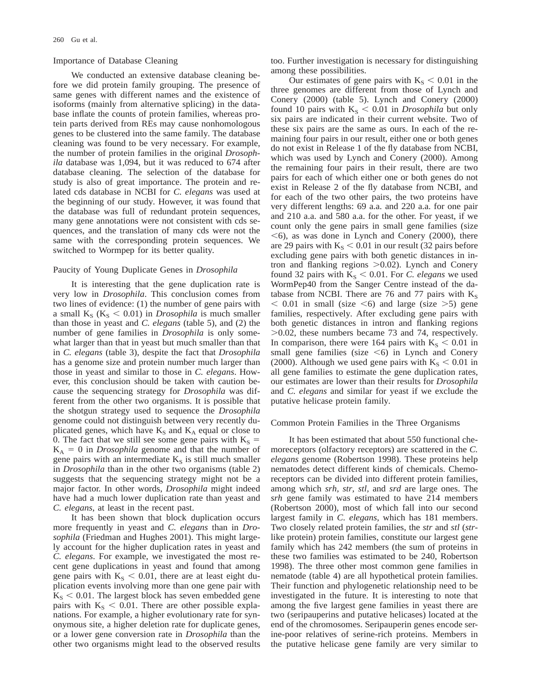## Importance of Database Cleaning

We conducted an extensive database cleaning before we did protein family grouping. The presence of same genes with different names and the existence of isoforms (mainly from alternative splicing) in the database inflate the counts of protein families, whereas protein parts derived from REs may cause nonhomologous genes to be clustered into the same family. The database cleaning was found to be very necessary. For example, the number of protein families in the original *Drosophila* database was 1,094, but it was reduced to 674 after database cleaning. The selection of the database for study is also of great importance. The protein and related cds database in NCBI for *C. elegans* was used at the beginning of our study. However, it was found that the database was full of redundant protein sequences, many gene annotations were not consistent with cds sequences, and the translation of many cds were not the same with the corresponding protein sequences. We switched to Wormpep for its better quality.

## Paucity of Young Duplicate Genes in *Drosophila*

It is interesting that the gene duplication rate is very low in *Drosophila*. This conclusion comes from two lines of evidence: (1) the number of gene pairs with a small  $K_S$  ( $K_S$  < 0.01) in *Drosophila* is much smaller than those in yeast and *C. elegans* (table 5), and (2) the number of gene families in *Drosophila* is only somewhat larger than that in yeast but much smaller than that in *C. elegans* (table 3), despite the fact that *Drosophila* has a genome size and protein number much larger than those in yeast and similar to those in *C. elegans*. However, this conclusion should be taken with caution because the sequencing strategy for *Drosophila* was different from the other two organisms. It is possible that the shotgun strategy used to sequence the *Drosophila* genome could not distinguish between very recently duplicated genes, which have  $K_S$  and  $K_A$  equal or close to 0. The fact that we still see some gene pairs with  $K_s =$  $K_A = 0$  in *Drosophila* genome and that the number of gene pairs with an intermediate  $K<sub>S</sub>$  is still much smaller in *Drosophila* than in the other two organisms (table 2) suggests that the sequencing strategy might not be a major factor. In other words, *Drosophila* might indeed have had a much lower duplication rate than yeast and *C. elegans*, at least in the recent past.

It has been shown that block duplication occurs more frequently in yeast and *C. elegans* than in *Drosophila* (Friedman and Hughes 2001). This might largely account for the higher duplication rates in yeast and *C. elegans*. For example, we investigated the most recent gene duplications in yeast and found that among gene pairs with  $K_S < 0.01$ , there are at least eight duplication events involving more than one gene pair with  $K<sub>S</sub> < 0.01$ . The largest block has seven embedded gene pairs with  $K_S < 0.01$ . There are other possible explanations. For example, a higher evolutionary rate for synonymous site, a higher deletion rate for duplicate genes, or a lower gene conversion rate in *Drosophila* than the other two organisms might lead to the observed results too. Further investigation is necessary for distinguishing among these possibilities.

Our estimates of gene pairs with  $K_S < 0.01$  in the three genomes are different from those of Lynch and Conery (2000) (table 5). Lynch and Conery (2000) found 10 pairs with  $K_S < 0.01$  in *Drosophila* but only six pairs are indicated in their current website. Two of these six pairs are the same as ours. In each of the remaining four pairs in our result, either one or both genes do not exist in Release 1 of the fly database from NCBI, which was used by Lynch and Conery (2000). Among the remaining four pairs in their result, there are two pairs for each of which either one or both genes do not exist in Release 2 of the fly database from NCBI, and for each of the two other pairs, the two proteins have very different lengths: 69 a.a. and 220 a.a. for one pair and 210 a.a. and 580 a.a. for the other. For yeast, if we count only the gene pairs in small gene families (size  $\leq$ 6), as was done in Lynch and Conery (2000), there are 29 pairs with  $K_S < 0.01$  in our result (32 pairs before excluding gene pairs with both genetic distances in intron and flanking regions  $>0.02$ ). Lynch and Conery found 32 pairs with  $K_S < 0.01$ . For *C. elegans* we used WormPep40 from the Sanger Centre instead of the database from NCBI. There are 76 and 77 pairs with  $K<sub>S</sub>$  $< 0.01$  in small (size  $< 6$ ) and large (size  $> 5$ ) gene families, respectively. After excluding gene pairs with both genetic distances in intron and flanking regions  $>0.02$ , these numbers became 73 and 74, respectively. In comparison, there were 164 pairs with  $K_s < 0.01$  in small gene families (size  $\leq 6$ ) in Lynch and Conery (2000). Although we used gene pairs with  $K_S < 0.01$  in all gene families to estimate the gene duplication rates, our estimates are lower than their results for *Drosophila* and *C. elegans* and similar for yeast if we exclude the putative helicase protein family.

## Common Protein Families in the Three Organisms

It has been estimated that about 550 functional chemoreceptors (olfactory receptors) are scattered in the *C. elegans* genome (Robertson 1998). These proteins help nematodes detect different kinds of chemicals. Chemoreceptors can be divided into different protein families, among which *srh, str, stl,* and *srd* are large ones. The *srh* gene family was estimated to have 214 members (Robertson 2000), most of which fall into our second largest family in *C. elegans*, which has 181 members. Two closely related protein families, the *str* and *stl* (*str*like protein) protein families, constitute our largest gene family which has 242 members (the sum of proteins in these two families was estimated to be 240, Robertson 1998). The three other most common gene families in nematode (table 4) are all hypothetical protein families. Their function and phylogenetic relationship need to be investigated in the future. It is interesting to note that among the five largest gene families in yeast there are two (seripauperins and putative helicases) located at the end of the chromosomes. Seripauperin genes encode serine-poor relatives of serine-rich proteins. Members in the putative helicase gene family are very similar to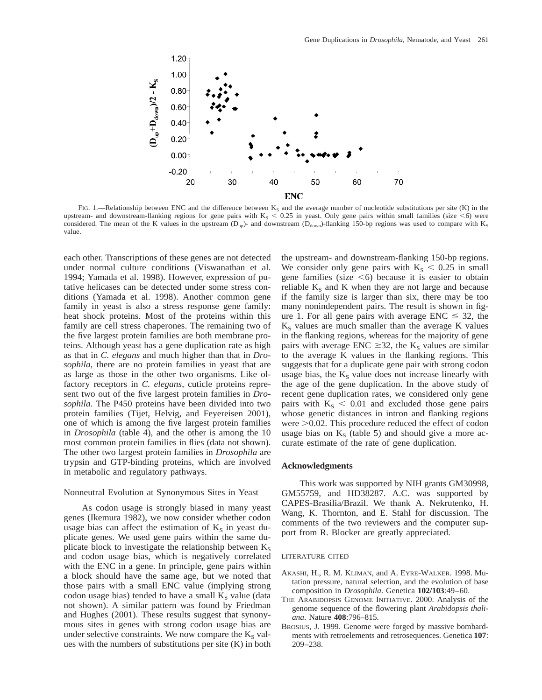

FIG. 1.—Relationship between ENC and the difference between  $K_S$  and the average number of nucleotide substitutions per site (K) in the upstream- and downstream-flanking regions for gene pairs with  $K<sub>S</sub> < 0.25$  in yeast. Only gene pairs within small families (size  $\leq 6$ ) were considered. The mean of the K values in the upstream (D<sub>up</sub>)- and downstream (D<sub>down</sub>)-flanking 150-bp regions was used to compare with K<sub>S</sub> value.

each other. Transcriptions of these genes are not detected under normal culture conditions (Viswanathan et al. 1994; Yamada et al. 1998). However, expression of putative helicases can be detected under some stress conditions (Yamada et al. 1998). Another common gene family in yeast is also a stress response gene family: heat shock proteins. Most of the proteins within this family are cell stress chaperones. The remaining two of the five largest protein families are both membrane proteins. Although yeast has a gene duplication rate as high as that in *C. elegans* and much higher than that in *Drosophila*, there are no protein families in yeast that are as large as those in the other two organisms. Like olfactory receptors in *C. elegans*, cuticle proteins represent two out of the five largest protein families in *Drosophila*. The P450 proteins have been divided into two protein families (Tijet, Helvig, and Feyereisen 2001), one of which is among the five largest protein families in *Drosophila* (table 4), and the other is among the 10 most common protein families in flies (data not shown). The other two largest protein families in *Drosophila* are trypsin and GTP-binding proteins, which are involved in metabolic and regulatory pathways.

# Nonneutral Evolution at Synonymous Sites in Yeast

As codon usage is strongly biased in many yeast genes (Ikemura 1982), we now consider whether codon usage bias can affect the estimation of  $K<sub>S</sub>$  in yeast duplicate genes. We used gene pairs within the same duplicate block to investigate the relationship between  $K<sub>S</sub>$ and codon usage bias, which is negatively correlated with the ENC in a gene. In principle, gene pairs within a block should have the same age, but we noted that those pairs with a small ENC value (implying strong codon usage bias) tended to have a small  $K<sub>S</sub>$  value (data not shown). A similar pattern was found by Friedman and Hughes (2001). These results suggest that synonymous sites in genes with strong codon usage bias are under selective constraints. We now compare the  $K_S$  values with the numbers of substitutions per site (K) in both the upstream- and downstream-flanking 150-bp regions. We consider only gene pairs with  $K_s < 0.25$  in small gene families (size  $\leq 6$ ) because it is easier to obtain reliable  $K<sub>S</sub>$  and K when they are not large and because if the family size is larger than six, there may be too many nonindependent pairs. The result is shown in figure 1. For all gene pairs with average  $ENC \leq 32$ , the  $K<sub>S</sub>$  values are much smaller than the average K values in the flanking regions, whereas for the majority of gene pairs with average ENC  $\geq$ 32, the K<sub>S</sub> values are similar to the average K values in the flanking regions. This suggests that for a duplicate gene pair with strong codon usage bias, the  $K<sub>S</sub>$  value does not increase linearly with the age of the gene duplication. In the above study of recent gene duplication rates, we considered only gene pairs with  $K_S < 0.01$  and excluded those gene pairs whose genetic distances in intron and flanking regions were  $>0.02$ . This procedure reduced the effect of codon usage bias on  $K<sub>s</sub>$  (table 5) and should give a more accurate estimate of the rate of gene duplication.

## **Acknowledgments**

This work was supported by NIH grants GM30998, GM55759, and HD38287. A.C. was supported by CAPES-Brasilia/Brazil. We thank A. Nekrutenko, H. Wang, K. Thornton, and E. Stahl for discussion. The comments of the two reviewers and the computer support from R. Blocker are greatly appreciated.

# LITERATURE CITED

- AKASHI, H., R. M. KLIMAN, and A. EYRE-WALKER. 1998. Mutation pressure, natural selection, and the evolution of base composition in *Drosophila*. Genetica **102/103**:49–60.
- THE ARABIDOPSIS GENOME INITIATIVE. 2000. Analysis of the genome sequence of the flowering plant *Arabidopsis thaliana*. Nature **408**:796–815.
- BROSIUS, J. 1999. Genome were forged by massive bombardments with retroelements and retrosequences. Genetica **107**: 209–238.